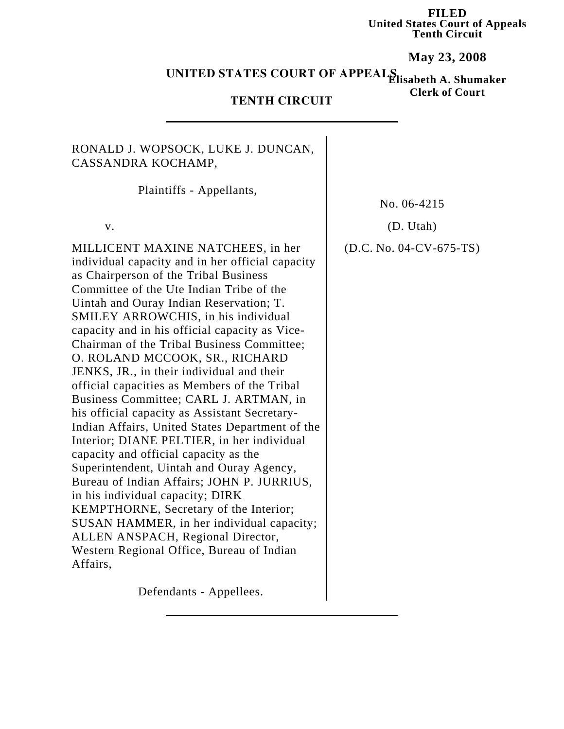**FILED United States Court of Appeals Tenth Circuit**

**May 23, 2008**

**Elisabeth A. Shumaker UNITED STATES COURT OF APPEALS**

**Clerk of Court**

## **TENTH CIRCUIT**

## RONALD J. WOPSOCK, LUKE J. DUNCAN, CASSANDRA KOCHAMP,

Plaintiffs - Appellants,

MILLICENT MAXINE NATCHEES, in her individual capacity and in her official capacity as Chairperson of the Tribal Business Committee of the Ute Indian Tribe of the Uintah and Ouray Indian Reservation; T. SMILEY ARROWCHIS, in his individual capacity and in his official capacity as Vice-Chairman of the Tribal Business Committee; O. ROLAND MCCOOK, SR., RICHARD JENKS, JR., in their individual and their official capacities as Members of the Tribal Business Committee; CARL J. ARTMAN, in his official capacity as Assistant Secretary-Indian Affairs, United States Department of the Interior; DIANE PELTIER, in her individual capacity and official capacity as the Superintendent, Uintah and Ouray Agency, Bureau of Indian Affairs; JOHN P. JURRIUS, in his individual capacity; DIRK KEMPTHORNE, Secretary of the Interior; SUSAN HAMMER, in her individual capacity; ALLEN ANSPACH, Regional Director, Western Regional Office, Bureau of Indian Affairs,

No. 06-4215

v. (D. Utah)

(D.C. No. 04-CV-675-TS)

Defendants - Appellees.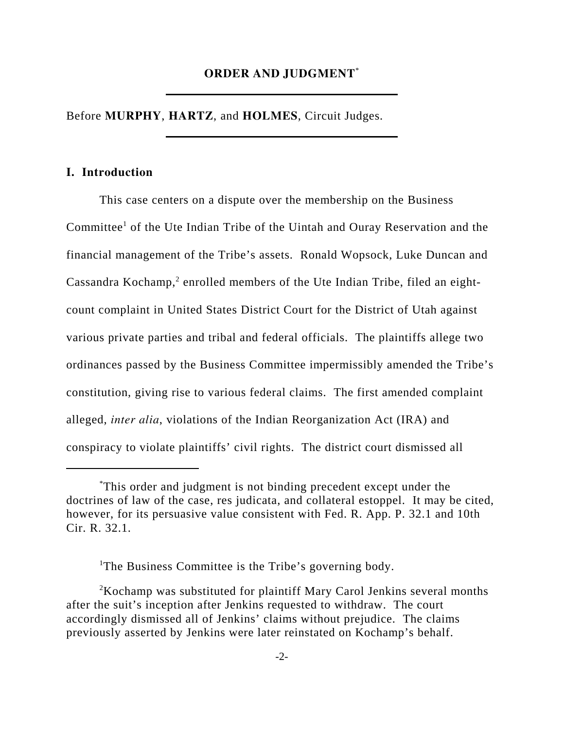### **ORDER AND JUDGMENT**\*

Before **MURPHY**, **HARTZ**, and **HOLMES**, Circuit Judges.

### **I. Introduction**

This case centers on a dispute over the membership on the Business Committee<sup>1</sup> of the Ute Indian Tribe of the Uintah and Ouray Reservation and the financial management of the Tribe's assets. Ronald Wopsock, Luke Duncan and Cassandra Kochamp,<sup>2</sup> enrolled members of the Ute Indian Tribe, filed an eightcount complaint in United States District Court for the District of Utah against various private parties and tribal and federal officials. The plaintiffs allege two ordinances passed by the Business Committee impermissibly amended the Tribe's constitution, giving rise to various federal claims. The first amended complaint alleged, *inter alia*, violations of the Indian Reorganization Act (IRA) and conspiracy to violate plaintiffs' civil rights. The district court dismissed all

<sup>\*</sup> This order and judgment is not binding precedent except under the doctrines of law of the case, res judicata, and collateral estoppel. It may be cited, however, for its persuasive value consistent with Fed. R. App. P. 32.1 and 10th Cir. R. 32.1.

<sup>&</sup>lt;sup>1</sup>The Business Committee is the Tribe's governing body.

 $2$ Kochamp was substituted for plaintiff Mary Carol Jenkins several months after the suit's inception after Jenkins requested to withdraw. The court accordingly dismissed all of Jenkins' claims without prejudice. The claims previously asserted by Jenkins were later reinstated on Kochamp's behalf.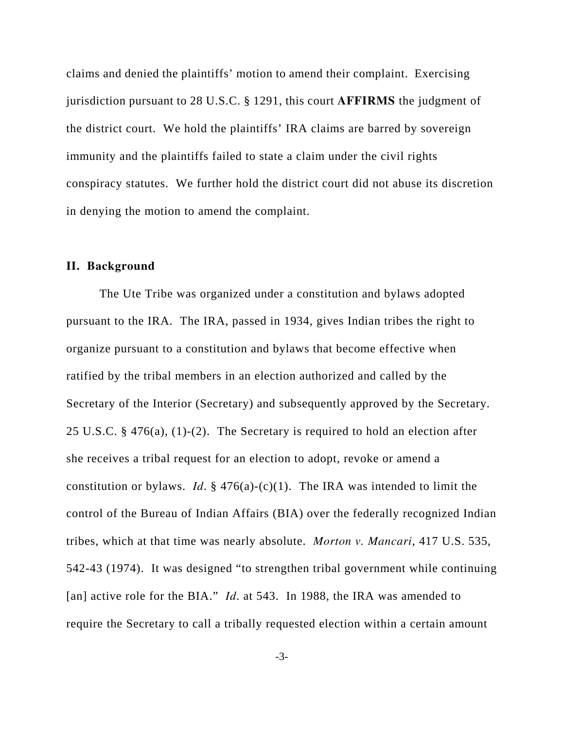claims and denied the plaintiffs' motion to amend their complaint. Exercising jurisdiction pursuant to 28 U.S.C. § 1291, this court **AFFIRMS** the judgment of the district court. We hold the plaintiffs' IRA claims are barred by sovereign immunity and the plaintiffs failed to state a claim under the civil rights conspiracy statutes. We further hold the district court did not abuse its discretion in denying the motion to amend the complaint.

## **II. Background**

The Ute Tribe was organized under a constitution and bylaws adopted pursuant to the IRA. The IRA, passed in 1934, gives Indian tribes the right to organize pursuant to a constitution and bylaws that become effective when ratified by the tribal members in an election authorized and called by the Secretary of the Interior (Secretary) and subsequently approved by the Secretary. 25 U.S.C. § 476(a), (1)-(2). The Secretary is required to hold an election after she receives a tribal request for an election to adopt, revoke or amend a constitution or bylaws. *Id.*  $\S$  476(a)-(c)(1). The IRA was intended to limit the control of the Bureau of Indian Affairs (BIA) over the federally recognized Indian tribes, which at that time was nearly absolute. *Morton v. Mancari*, 417 U.S. 535, 542-43 (1974). It was designed "to strengthen tribal government while continuing [an] active role for the BIA." *Id*. at 543. In 1988, the IRA was amended to require the Secretary to call a tribally requested election within a certain amount

-3-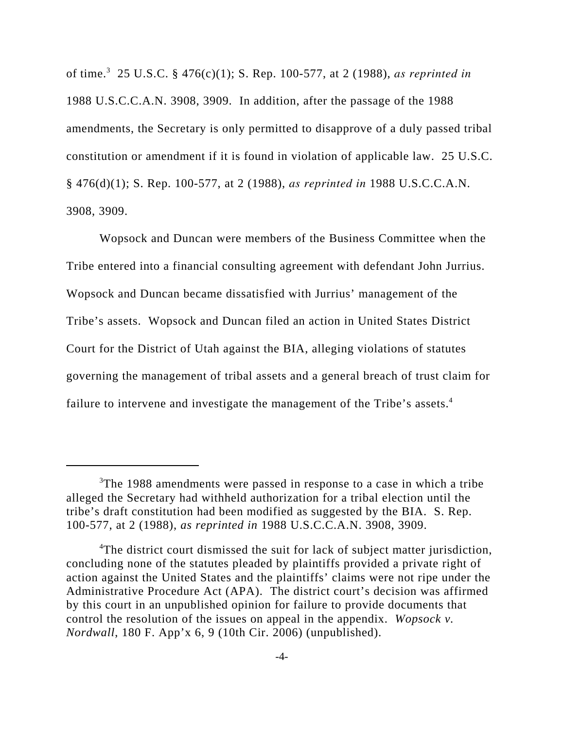of time.3 25 U.S.C. § 476(c)(1); S. Rep. 100-577, at 2 (1988), *as reprinted in* 1988 U.S.C.C.A.N. 3908, 3909. In addition, after the passage of the 1988 amendments, the Secretary is only permitted to disapprove of a duly passed tribal constitution or amendment if it is found in violation of applicable law. 25 U.S.C. § 476(d)(1); S. Rep. 100-577, at 2 (1988), *as reprinted in* 1988 U.S.C.C.A.N. 3908, 3909.

Wopsock and Duncan were members of the Business Committee when the Tribe entered into a financial consulting agreement with defendant John Jurrius. Wopsock and Duncan became dissatisfied with Jurrius' management of the Tribe's assets. Wopsock and Duncan filed an action in United States District Court for the District of Utah against the BIA, alleging violations of statutes governing the management of tribal assets and a general breach of trust claim for failure to intervene and investigate the management of the Tribe's assets.<sup>4</sup>

<sup>&</sup>lt;sup>3</sup>The 1988 amendments were passed in response to a case in which a tribe alleged the Secretary had withheld authorization for a tribal election until the tribe's draft constitution had been modified as suggested by the BIA. S. Rep. 100-577, at 2 (1988), *as reprinted in* 1988 U.S.C.C.A.N. 3908, 3909.

<sup>&</sup>lt;sup>4</sup>The district court dismissed the suit for lack of subject matter jurisdiction, concluding none of the statutes pleaded by plaintiffs provided a private right of action against the United States and the plaintiffs' claims were not ripe under the Administrative Procedure Act (APA). The district court's decision was affirmed by this court in an unpublished opinion for failure to provide documents that control the resolution of the issues on appeal in the appendix. *Wopsock v. Nordwall*, 180 F. App'x 6, 9 (10th Cir. 2006) (unpublished).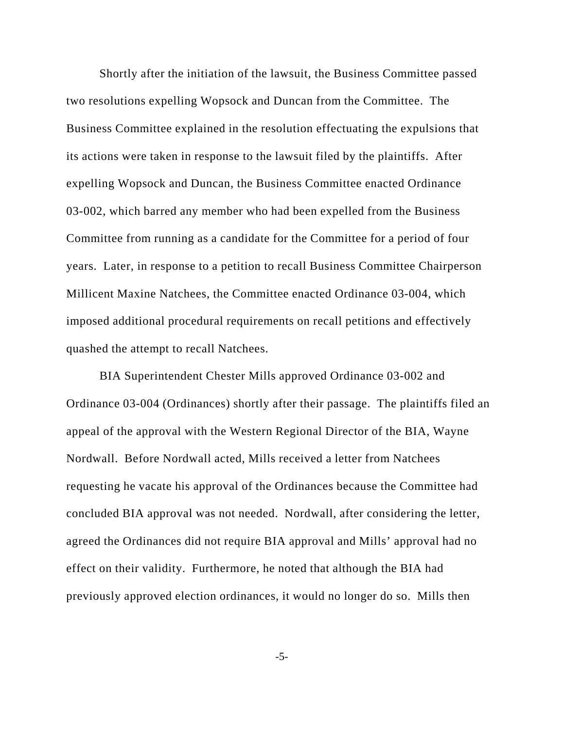Shortly after the initiation of the lawsuit, the Business Committee passed two resolutions expelling Wopsock and Duncan from the Committee. The Business Committee explained in the resolution effectuating the expulsions that its actions were taken in response to the lawsuit filed by the plaintiffs. After expelling Wopsock and Duncan, the Business Committee enacted Ordinance 03-002, which barred any member who had been expelled from the Business Committee from running as a candidate for the Committee for a period of four years. Later, in response to a petition to recall Business Committee Chairperson Millicent Maxine Natchees, the Committee enacted Ordinance 03-004, which imposed additional procedural requirements on recall petitions and effectively quashed the attempt to recall Natchees.

BIA Superintendent Chester Mills approved Ordinance 03-002 and Ordinance 03-004 (Ordinances) shortly after their passage. The plaintiffs filed an appeal of the approval with the Western Regional Director of the BIA, Wayne Nordwall. Before Nordwall acted, Mills received a letter from Natchees requesting he vacate his approval of the Ordinances because the Committee had concluded BIA approval was not needed. Nordwall, after considering the letter, agreed the Ordinances did not require BIA approval and Mills' approval had no effect on their validity. Furthermore, he noted that although the BIA had previously approved election ordinances, it would no longer do so. Mills then

-5-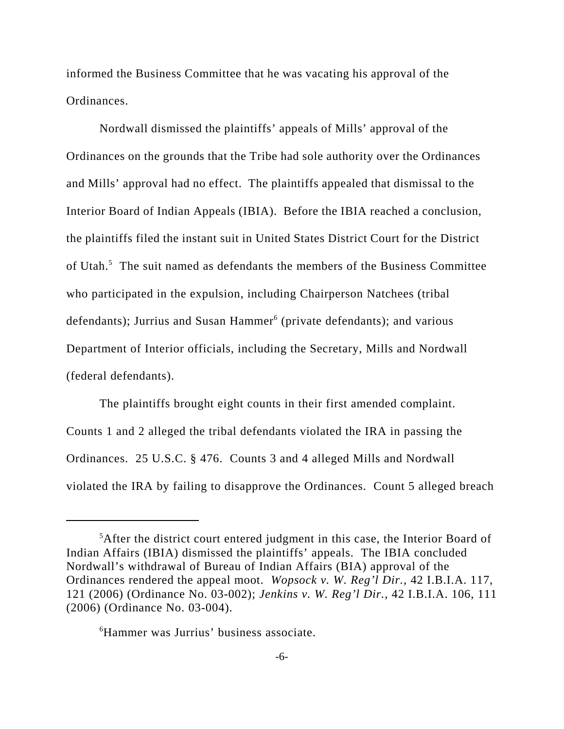informed the Business Committee that he was vacating his approval of the Ordinances.

Nordwall dismissed the plaintiffs' appeals of Mills' approval of the Ordinances on the grounds that the Tribe had sole authority over the Ordinances and Mills' approval had no effect. The plaintiffs appealed that dismissal to the Interior Board of Indian Appeals (IBIA). Before the IBIA reached a conclusion, the plaintiffs filed the instant suit in United States District Court for the District of Utah.<sup>5</sup> The suit named as defendants the members of the Business Committee who participated in the expulsion, including Chairperson Natchees (tribal defendants); Jurrius and Susan Hammer<sup>6</sup> (private defendants); and various Department of Interior officials, including the Secretary, Mills and Nordwall (federal defendants).

The plaintiffs brought eight counts in their first amended complaint. Counts 1 and 2 alleged the tribal defendants violated the IRA in passing the Ordinances. 25 U.S.C. § 476. Counts 3 and 4 alleged Mills and Nordwall violated the IRA by failing to disapprove the Ordinances. Count 5 alleged breach

6 Hammer was Jurrius' business associate.

<sup>&</sup>lt;sup>5</sup>After the district court entered judgment in this case, the Interior Board of Indian Affairs (IBIA) dismissed the plaintiffs' appeals. The IBIA concluded Nordwall's withdrawal of Bureau of Indian Affairs (BIA) approval of the Ordinances rendered the appeal moot. *Wopsock v. W. Reg'l Dir.*, 42 I.B.I.A. 117, 121 (2006) (Ordinance No. 03-002); *Jenkins v. W. Reg'l Dir.*, 42 I.B.I.A. 106, 111 (2006) (Ordinance No. 03-004).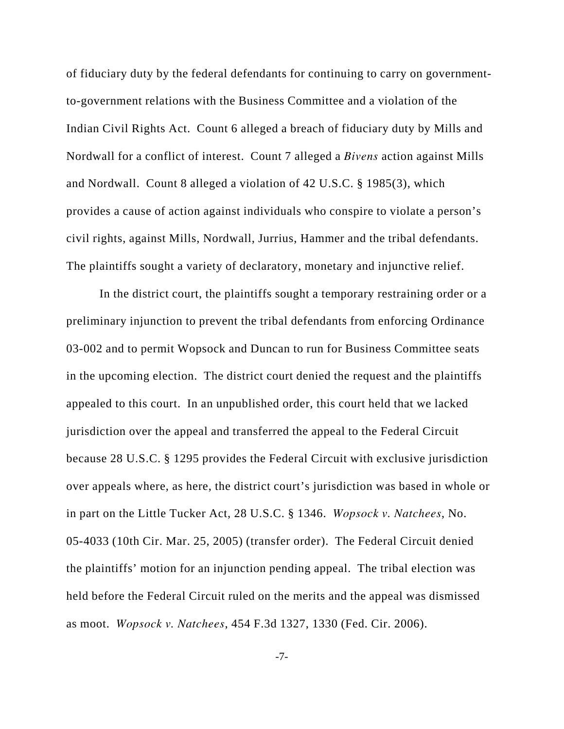of fiduciary duty by the federal defendants for continuing to carry on governmentto-government relations with the Business Committee and a violation of the Indian Civil Rights Act. Count 6 alleged a breach of fiduciary duty by Mills and Nordwall for a conflict of interest. Count 7 alleged a *Bivens* action against Mills and Nordwall. Count 8 alleged a violation of 42 U.S.C. § 1985(3), which provides a cause of action against individuals who conspire to violate a person's civil rights, against Mills, Nordwall, Jurrius, Hammer and the tribal defendants. The plaintiffs sought a variety of declaratory, monetary and injunctive relief.

In the district court, the plaintiffs sought a temporary restraining order or a preliminary injunction to prevent the tribal defendants from enforcing Ordinance 03-002 and to permit Wopsock and Duncan to run for Business Committee seats in the upcoming election. The district court denied the request and the plaintiffs appealed to this court. In an unpublished order, this court held that we lacked jurisdiction over the appeal and transferred the appeal to the Federal Circuit because 28 U.S.C. § 1295 provides the Federal Circuit with exclusive jurisdiction over appeals where, as here, the district court's jurisdiction was based in whole or in part on the Little Tucker Act, 28 U.S.C. § 1346. *Wopsock v. Natchees*, No. 05-4033 (10th Cir. Mar. 25, 2005) (transfer order). The Federal Circuit denied the plaintiffs' motion for an injunction pending appeal. The tribal election was held before the Federal Circuit ruled on the merits and the appeal was dismissed as moot. *Wopsock v. Natchees*, 454 F.3d 1327, 1330 (Fed. Cir. 2006).

-7-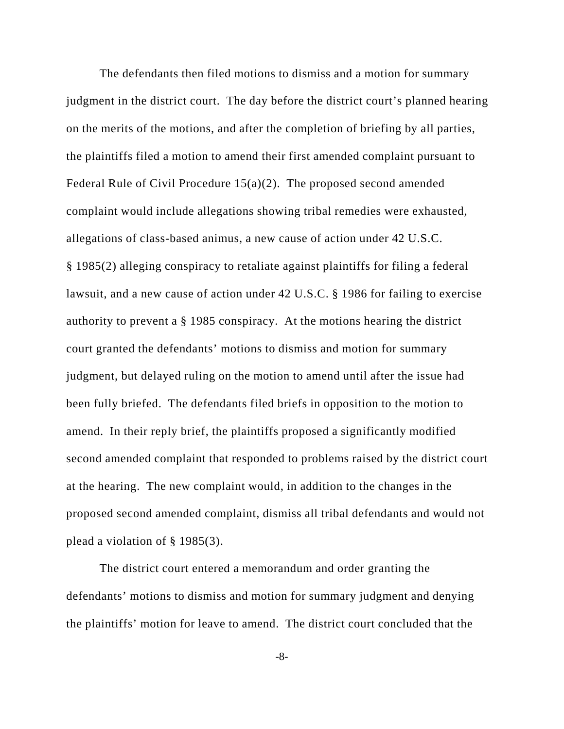The defendants then filed motions to dismiss and a motion for summary judgment in the district court. The day before the district court's planned hearing on the merits of the motions, and after the completion of briefing by all parties, the plaintiffs filed a motion to amend their first amended complaint pursuant to Federal Rule of Civil Procedure 15(a)(2). The proposed second amended complaint would include allegations showing tribal remedies were exhausted, allegations of class-based animus, a new cause of action under 42 U.S.C. § 1985(2) alleging conspiracy to retaliate against plaintiffs for filing a federal lawsuit, and a new cause of action under 42 U.S.C. § 1986 for failing to exercise authority to prevent a § 1985 conspiracy. At the motions hearing the district court granted the defendants' motions to dismiss and motion for summary judgment, but delayed ruling on the motion to amend until after the issue had been fully briefed. The defendants filed briefs in opposition to the motion to amend. In their reply brief, the plaintiffs proposed a significantly modified second amended complaint that responded to problems raised by the district court at the hearing. The new complaint would, in addition to the changes in the proposed second amended complaint, dismiss all tribal defendants and would not plead a violation of § 1985(3).

The district court entered a memorandum and order granting the defendants' motions to dismiss and motion for summary judgment and denying the plaintiffs' motion for leave to amend. The district court concluded that the

-8-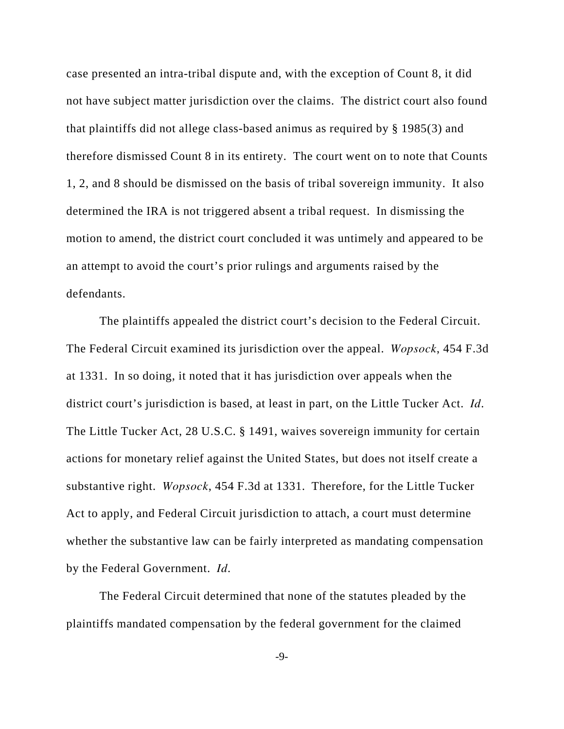case presented an intra-tribal dispute and, with the exception of Count 8, it did not have subject matter jurisdiction over the claims. The district court also found that plaintiffs did not allege class-based animus as required by § 1985(3) and therefore dismissed Count 8 in its entirety. The court went on to note that Counts 1, 2, and 8 should be dismissed on the basis of tribal sovereign immunity. It also determined the IRA is not triggered absent a tribal request. In dismissing the motion to amend, the district court concluded it was untimely and appeared to be an attempt to avoid the court's prior rulings and arguments raised by the defendants.

The plaintiffs appealed the district court's decision to the Federal Circuit. The Federal Circuit examined its jurisdiction over the appeal. *Wopsock*, 454 F.3d at 1331. In so doing, it noted that it has jurisdiction over appeals when the district court's jurisdiction is based, at least in part, on the Little Tucker Act. *Id*. The Little Tucker Act, 28 U.S.C. § 1491, waives sovereign immunity for certain actions for monetary relief against the United States, but does not itself create a substantive right. *Wopsock*, 454 F.3d at 1331. Therefore, for the Little Tucker Act to apply, and Federal Circuit jurisdiction to attach, a court must determine whether the substantive law can be fairly interpreted as mandating compensation by the Federal Government. *Id*.

The Federal Circuit determined that none of the statutes pleaded by the plaintiffs mandated compensation by the federal government for the claimed

-9-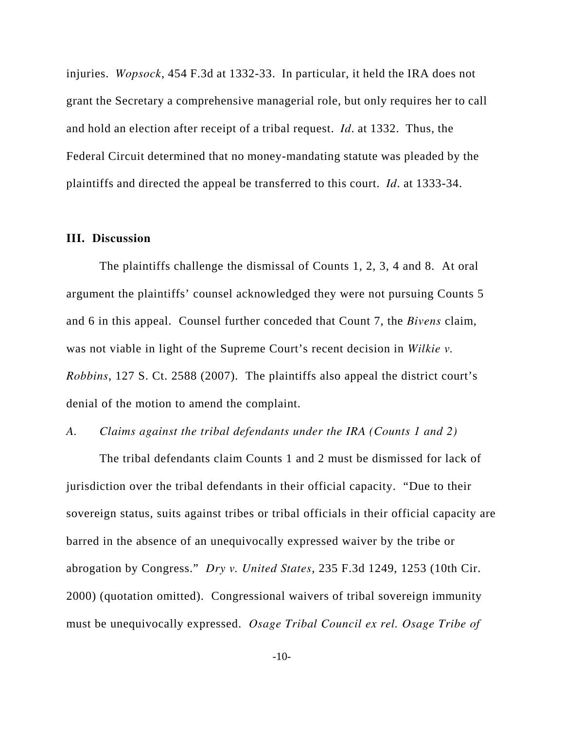injuries. *Wopsock*, 454 F.3d at 1332-33. In particular, it held the IRA does not grant the Secretary a comprehensive managerial role, but only requires her to call and hold an election after receipt of a tribal request. *Id*. at 1332. Thus, the Federal Circuit determined that no money-mandating statute was pleaded by the plaintiffs and directed the appeal be transferred to this court. *Id*. at 1333-34.

## **III. Discussion**

The plaintiffs challenge the dismissal of Counts 1, 2, 3, 4 and 8. At oral argument the plaintiffs' counsel acknowledged they were not pursuing Counts 5 and 6 in this appeal. Counsel further conceded that Count 7, the *Bivens* claim, was not viable in light of the Supreme Court's recent decision in *Wilkie v. Robbins*, 127 S. Ct. 2588 (2007). The plaintiffs also appeal the district court's denial of the motion to amend the complaint.

## *A. Claims against the tribal defendants under the IRA (Counts 1 and 2)*

The tribal defendants claim Counts 1 and 2 must be dismissed for lack of jurisdiction over the tribal defendants in their official capacity. "Due to their sovereign status, suits against tribes or tribal officials in their official capacity are barred in the absence of an unequivocally expressed waiver by the tribe or abrogation by Congress." *Dry v. United States*, 235 F.3d 1249, 1253 (10th Cir. 2000) (quotation omitted). Congressional waivers of tribal sovereign immunity must be unequivocally expressed. *Osage Tribal Council ex rel. Osage Tribe of*

-10-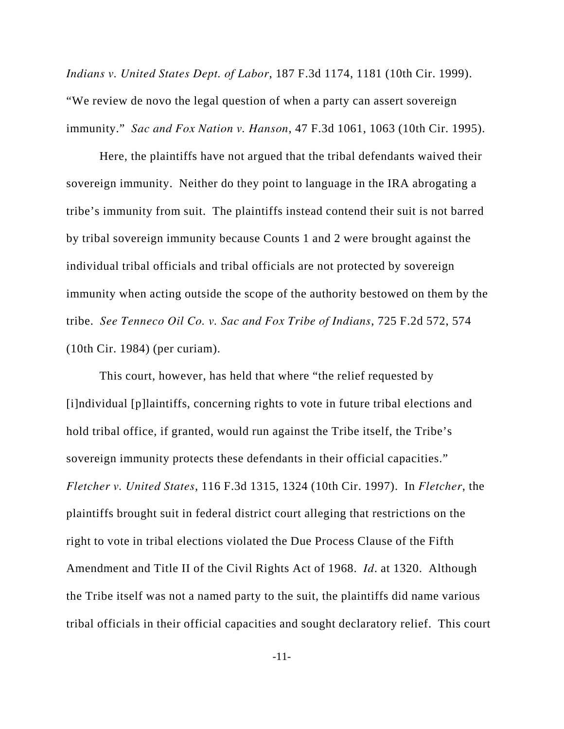*Indians v. United States Dept. of Labor*, 187 F.3d 1174, 1181 (10th Cir. 1999). "We review de novo the legal question of when a party can assert sovereign immunity." *Sac and Fox Nation v. Hanson*, 47 F.3d 1061, 1063 (10th Cir. 1995).

Here, the plaintiffs have not argued that the tribal defendants waived their sovereign immunity. Neither do they point to language in the IRA abrogating a tribe's immunity from suit. The plaintiffs instead contend their suit is not barred by tribal sovereign immunity because Counts 1 and 2 were brought against the individual tribal officials and tribal officials are not protected by sovereign immunity when acting outside the scope of the authority bestowed on them by the tribe. *See Tenneco Oil Co. v. Sac and Fox Tribe of Indians*, 725 F.2d 572, 574 (10th Cir. 1984) (per curiam).

This court, however, has held that where "the relief requested by [i]ndividual [p]laintiffs, concerning rights to vote in future tribal elections and hold tribal office, if granted, would run against the Tribe itself, the Tribe's sovereign immunity protects these defendants in their official capacities." *Fletcher v. United States*, 116 F.3d 1315, 1324 (10th Cir. 1997). In *Fletcher*, the plaintiffs brought suit in federal district court alleging that restrictions on the right to vote in tribal elections violated the Due Process Clause of the Fifth Amendment and Title II of the Civil Rights Act of 1968. *Id*. at 1320. Although the Tribe itself was not a named party to the suit, the plaintiffs did name various tribal officials in their official capacities and sought declaratory relief. This court

-11-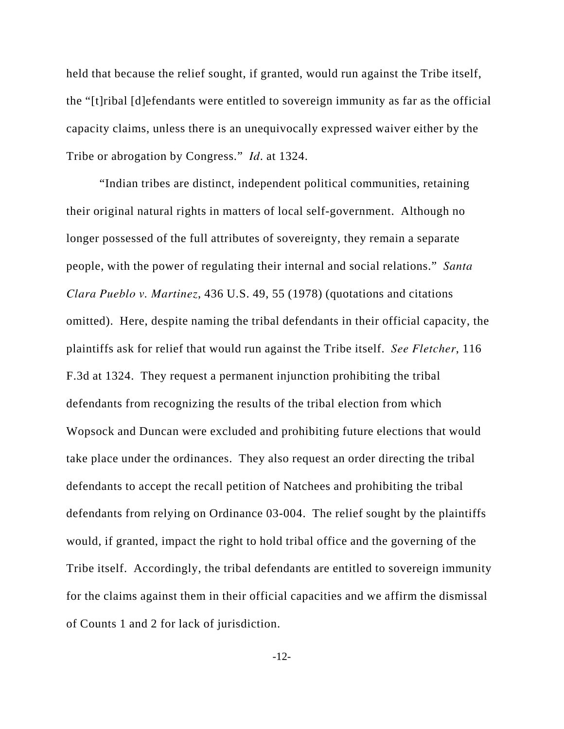held that because the relief sought, if granted, would run against the Tribe itself, the "[t]ribal [d]efendants were entitled to sovereign immunity as far as the official capacity claims, unless there is an unequivocally expressed waiver either by the Tribe or abrogation by Congress." *Id*. at 1324.

"Indian tribes are distinct, independent political communities, retaining their original natural rights in matters of local self-government. Although no longer possessed of the full attributes of sovereignty, they remain a separate people, with the power of regulating their internal and social relations." *Santa Clara Pueblo v. Martinez*, 436 U.S. 49, 55 (1978) (quotations and citations omitted). Here, despite naming the tribal defendants in their official capacity, the plaintiffs ask for relief that would run against the Tribe itself. *See Fletcher*, 116 F.3d at 1324. They request a permanent injunction prohibiting the tribal defendants from recognizing the results of the tribal election from which Wopsock and Duncan were excluded and prohibiting future elections that would take place under the ordinances. They also request an order directing the tribal defendants to accept the recall petition of Natchees and prohibiting the tribal defendants from relying on Ordinance 03-004. The relief sought by the plaintiffs would, if granted, impact the right to hold tribal office and the governing of the Tribe itself. Accordingly, the tribal defendants are entitled to sovereign immunity for the claims against them in their official capacities and we affirm the dismissal of Counts 1 and 2 for lack of jurisdiction.

-12-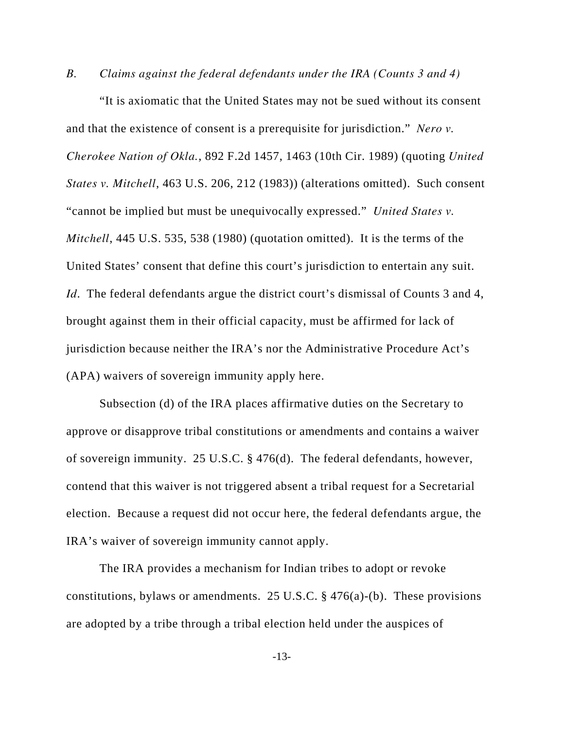*B. Claims against the federal defendants under the IRA (Counts 3 and 4)*

"It is axiomatic that the United States may not be sued without its consent and that the existence of consent is a prerequisite for jurisdiction." *Nero v. Cherokee Nation of Okla.*, 892 F.2d 1457, 1463 (10th Cir. 1989) (quoting *United States v. Mitchell*, 463 U.S. 206, 212 (1983)) (alterations omitted). Such consent "cannot be implied but must be unequivocally expressed." *United States v. Mitchell*, 445 U.S. 535, 538 (1980) (quotation omitted). It is the terms of the United States' consent that define this court's jurisdiction to entertain any suit. *Id.* The federal defendants argue the district court's dismissal of Counts 3 and 4, brought against them in their official capacity, must be affirmed for lack of jurisdiction because neither the IRA's nor the Administrative Procedure Act's (APA) waivers of sovereign immunity apply here.

Subsection (d) of the IRA places affirmative duties on the Secretary to approve or disapprove tribal constitutions or amendments and contains a waiver of sovereign immunity. 25 U.S.C. § 476(d). The federal defendants, however, contend that this waiver is not triggered absent a tribal request for a Secretarial election. Because a request did not occur here, the federal defendants argue, the IRA's waiver of sovereign immunity cannot apply.

The IRA provides a mechanism for Indian tribes to adopt or revoke constitutions, bylaws or amendments. 25 U.S.C. § 476(a)-(b). These provisions are adopted by a tribe through a tribal election held under the auspices of

-13-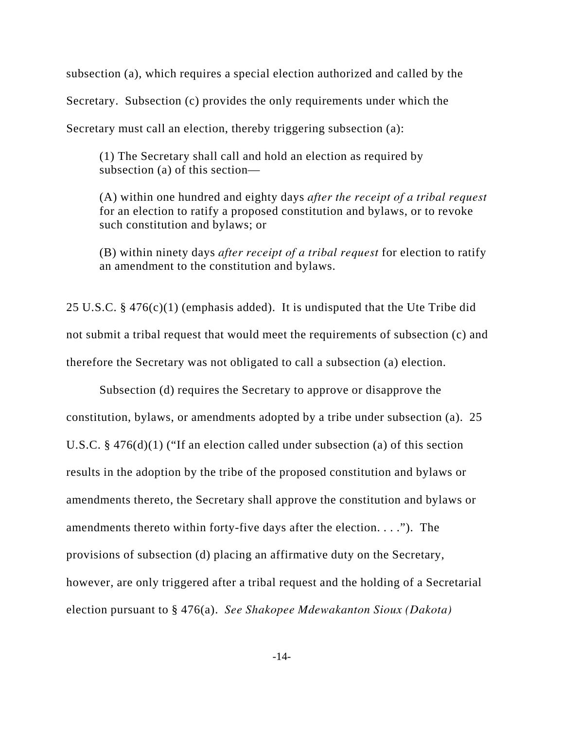subsection (a), which requires a special election authorized and called by the Secretary. Subsection (c) provides the only requirements under which the

Secretary must call an election, thereby triggering subsection (a):

(1) The Secretary shall call and hold an election as required by subsection (a) of this section—

(A) within one hundred and eighty days *after the receipt of a tribal request* for an election to ratify a proposed constitution and bylaws, or to revoke such constitution and bylaws; or

(B) within ninety days *after receipt of a tribal request* for election to ratify an amendment to the constitution and bylaws.

25 U.S.C. § 476(c)(1) (emphasis added). It is undisputed that the Ute Tribe did not submit a tribal request that would meet the requirements of subsection (c) and therefore the Secretary was not obligated to call a subsection (a) election.

Subsection (d) requires the Secretary to approve or disapprove the constitution, bylaws, or amendments adopted by a tribe under subsection (a). 25 U.S.C. § 476(d)(1) ("If an election called under subsection (a) of this section results in the adoption by the tribe of the proposed constitution and bylaws or amendments thereto, the Secretary shall approve the constitution and bylaws or amendments thereto within forty-five days after the election. . . ."). The provisions of subsection (d) placing an affirmative duty on the Secretary, however, are only triggered after a tribal request and the holding of a Secretarial election pursuant to § 476(a). *See Shakopee Mdewakanton Sioux (Dakota)*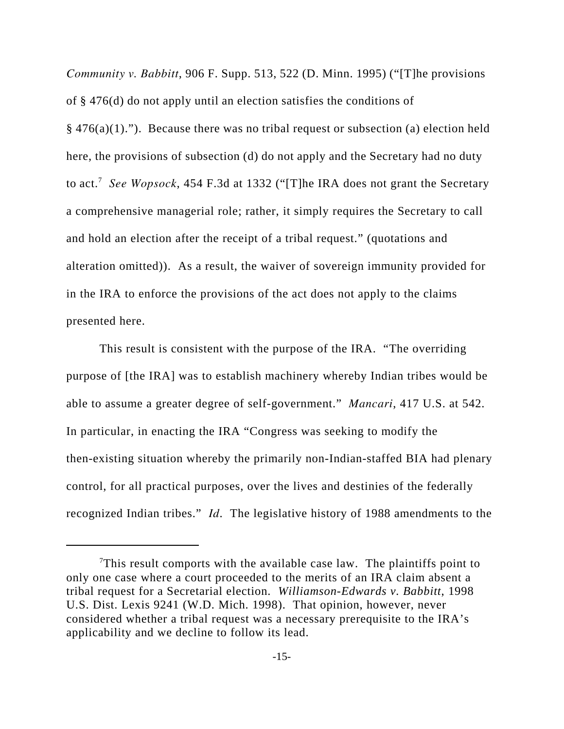*Community v. Babbitt*, 906 F. Supp. 513, 522 (D. Minn. 1995) ("[T]he provisions of § 476(d) do not apply until an election satisfies the conditions of  $§$  476(a)(1)."). Because there was no tribal request or subsection (a) election held here, the provisions of subsection (d) do not apply and the Secretary had no duty to act.7 *See Wopsock*, 454 F.3d at 1332 ("[T]he IRA does not grant the Secretary a comprehensive managerial role; rather, it simply requires the Secretary to call and hold an election after the receipt of a tribal request." (quotations and alteration omitted)). As a result, the waiver of sovereign immunity provided for in the IRA to enforce the provisions of the act does not apply to the claims presented here.

This result is consistent with the purpose of the IRA. "The overriding purpose of [the IRA] was to establish machinery whereby Indian tribes would be able to assume a greater degree of self-government." *Mancari*, 417 U.S. at 542. In particular, in enacting the IRA "Congress was seeking to modify the then-existing situation whereby the primarily non-Indian-staffed BIA had plenary control, for all practical purposes, over the lives and destinies of the federally recognized Indian tribes." *Id*. The legislative history of 1988 amendments to the

<sup>&</sup>lt;sup>7</sup>This result comports with the available case law. The plaintiffs point to only one case where a court proceeded to the merits of an IRA claim absent a tribal request for a Secretarial election. *Williamson-Edwards v. Babbitt*, 1998 U.S. Dist. Lexis 9241 (W.D. Mich. 1998). That opinion, however, never considered whether a tribal request was a necessary prerequisite to the IRA's applicability and we decline to follow its lead.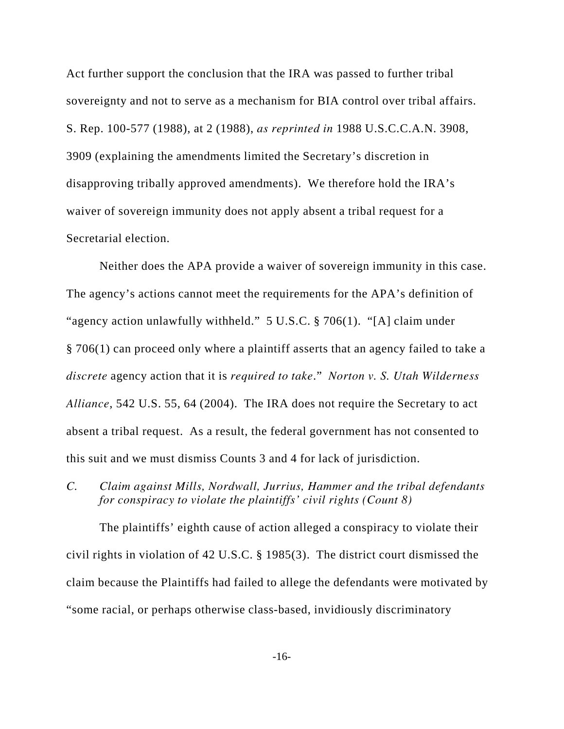Act further support the conclusion that the IRA was passed to further tribal sovereignty and not to serve as a mechanism for BIA control over tribal affairs. S. Rep. 100-577 (1988), at 2 (1988), *as reprinted in* 1988 U.S.C.C.A.N. 3908, 3909 (explaining the amendments limited the Secretary's discretion in disapproving tribally approved amendments). We therefore hold the IRA's waiver of sovereign immunity does not apply absent a tribal request for a Secretarial election.

Neither does the APA provide a waiver of sovereign immunity in this case. The agency's actions cannot meet the requirements for the APA's definition of "agency action unlawfully withheld." 5 U.S.C. § 706(1). "[A] claim under § 706(1) can proceed only where a plaintiff asserts that an agency failed to take a *discrete* agency action that it is *required to take*." *Norton v. S. Utah Wilderness Alliance*, 542 U.S. 55, 64 (2004). The IRA does not require the Secretary to act absent a tribal request. As a result, the federal government has not consented to this suit and we must dismiss Counts 3 and 4 for lack of jurisdiction.

*C. Claim against Mills, Nordwall, Jurrius, Hammer and the tribal defendants for conspiracy to violate the plaintiffs' civil rights (Count 8)*

The plaintiffs' eighth cause of action alleged a conspiracy to violate their civil rights in violation of 42 U.S.C. § 1985(3). The district court dismissed the claim because the Plaintiffs had failed to allege the defendants were motivated by "some racial, or perhaps otherwise class-based, invidiously discriminatory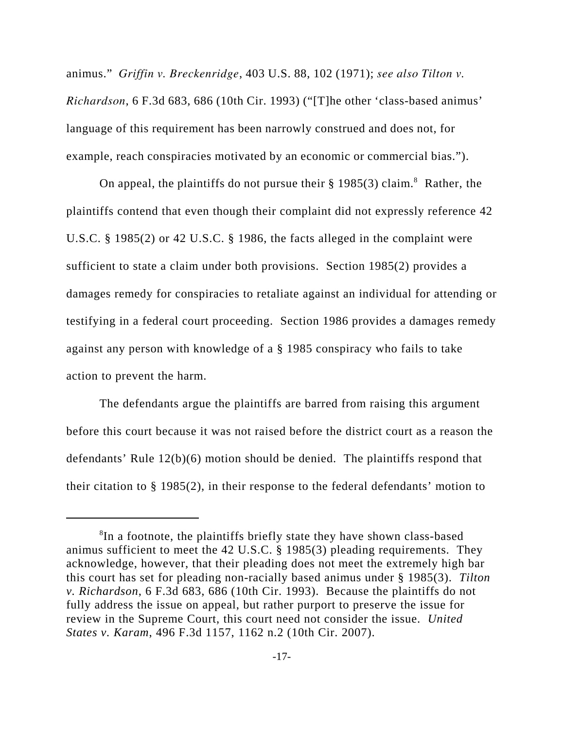animus." *Griffin v. Breckenridge*, 403 U.S. 88, 102 (1971); *see also Tilton v. Richardson*, 6 F.3d 683, 686 (10th Cir. 1993) ("[T]he other 'class-based animus' language of this requirement has been narrowly construed and does not, for example, reach conspiracies motivated by an economic or commercial bias.").

On appeal, the plaintiffs do not pursue their  $\S 1985(3)$  claim.<sup>8</sup> Rather, the plaintiffs contend that even though their complaint did not expressly reference 42 U.S.C. § 1985(2) or 42 U.S.C. § 1986, the facts alleged in the complaint were sufficient to state a claim under both provisions. Section 1985(2) provides a damages remedy for conspiracies to retaliate against an individual for attending or testifying in a federal court proceeding. Section 1986 provides a damages remedy against any person with knowledge of a § 1985 conspiracy who fails to take action to prevent the harm.

The defendants argue the plaintiffs are barred from raising this argument before this court because it was not raised before the district court as a reason the defendants' Rule 12(b)(6) motion should be denied. The plaintiffs respond that their citation to § 1985(2), in their response to the federal defendants' motion to

<sup>&</sup>lt;sup>8</sup>In a footnote, the plaintiffs briefly state they have shown class-based animus sufficient to meet the 42 U.S.C. § 1985(3) pleading requirements. They acknowledge, however, that their pleading does not meet the extremely high bar this court has set for pleading non-racially based animus under § 1985(3). *Tilton v. Richardson*, 6 F.3d 683, 686 (10th Cir. 1993). Because the plaintiffs do not fully address the issue on appeal, but rather purport to preserve the issue for review in the Supreme Court, this court need not consider the issue. *United States v. Karam*, 496 F.3d 1157, 1162 n.2 (10th Cir. 2007).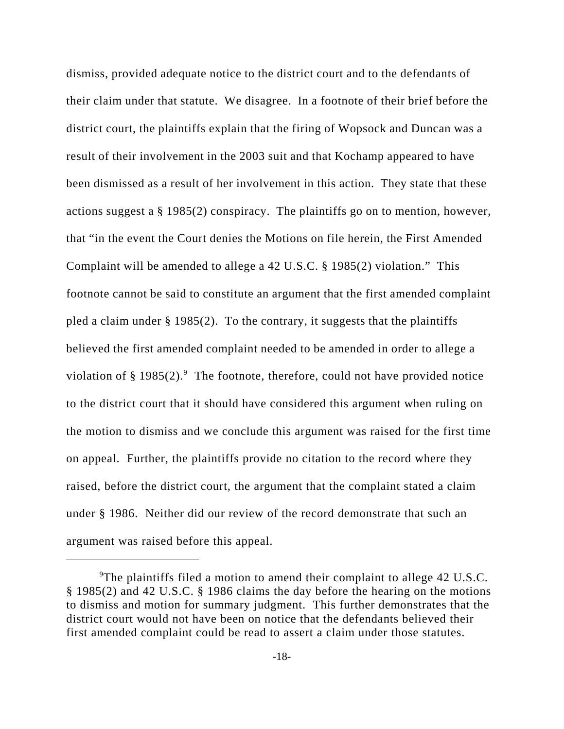dismiss, provided adequate notice to the district court and to the defendants of their claim under that statute. We disagree. In a footnote of their brief before the district court, the plaintiffs explain that the firing of Wopsock and Duncan was a result of their involvement in the 2003 suit and that Kochamp appeared to have been dismissed as a result of her involvement in this action. They state that these actions suggest a § 1985(2) conspiracy. The plaintiffs go on to mention, however, that "in the event the Court denies the Motions on file herein, the First Amended Complaint will be amended to allege a 42 U.S.C. § 1985(2) violation." This footnote cannot be said to constitute an argument that the first amended complaint pled a claim under § 1985(2). To the contrary, it suggests that the plaintiffs believed the first amended complaint needed to be amended in order to allege a violation of § 1985(2).<sup>9</sup> The footnote, therefore, could not have provided notice to the district court that it should have considered this argument when ruling on the motion to dismiss and we conclude this argument was raised for the first time on appeal. Further, the plaintiffs provide no citation to the record where they raised, before the district court, the argument that the complaint stated a claim under § 1986. Neither did our review of the record demonstrate that such an argument was raised before this appeal.

<sup>&</sup>lt;sup>9</sup>The plaintiffs filed a motion to amend their complaint to allege 42 U.S.C. § 1985(2) and 42 U.S.C. § 1986 claims the day before the hearing on the motions to dismiss and motion for summary judgment. This further demonstrates that the district court would not have been on notice that the defendants believed their first amended complaint could be read to assert a claim under those statutes.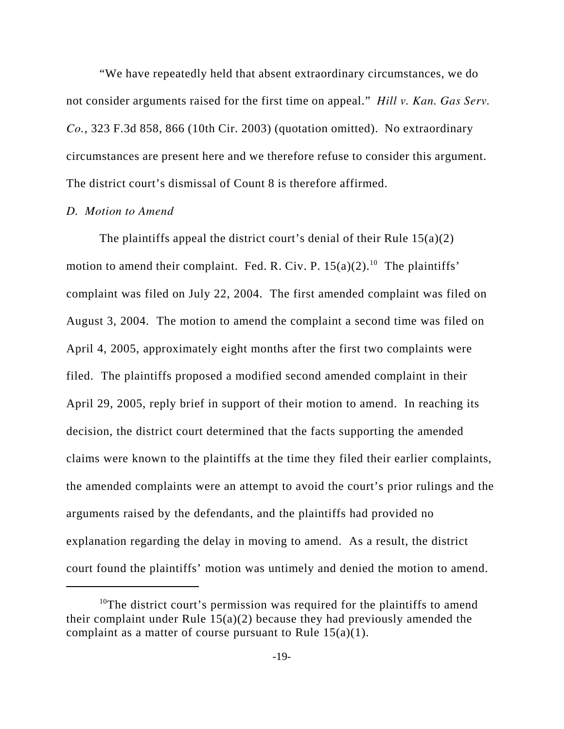"We have repeatedly held that absent extraordinary circumstances, we do not consider arguments raised for the first time on appeal." *Hill v. Kan. Gas Serv. Co.*, 323 F.3d 858, 866 (10th Cir. 2003) (quotation omitted). No extraordinary circumstances are present here and we therefore refuse to consider this argument. The district court's dismissal of Count 8 is therefore affirmed.

#### *D. Motion to Amend*

The plaintiffs appeal the district court's denial of their Rule  $15(a)(2)$ motion to amend their complaint. Fed. R. Civ. P.  $15(a)(2)$ .<sup>10</sup> The plaintiffs' complaint was filed on July 22, 2004. The first amended complaint was filed on August 3, 2004. The motion to amend the complaint a second time was filed on April 4, 2005, approximately eight months after the first two complaints were filed. The plaintiffs proposed a modified second amended complaint in their April 29, 2005, reply brief in support of their motion to amend. In reaching its decision, the district court determined that the facts supporting the amended claims were known to the plaintiffs at the time they filed their earlier complaints, the amended complaints were an attempt to avoid the court's prior rulings and the arguments raised by the defendants, and the plaintiffs had provided no explanation regarding the delay in moving to amend. As a result, the district court found the plaintiffs' motion was untimely and denied the motion to amend.

<sup>&</sup>lt;sup>10</sup>The district court's permission was required for the plaintiffs to amend their complaint under Rule  $15(a)(2)$  because they had previously amended the complaint as a matter of course pursuant to Rule  $15(a)(1)$ .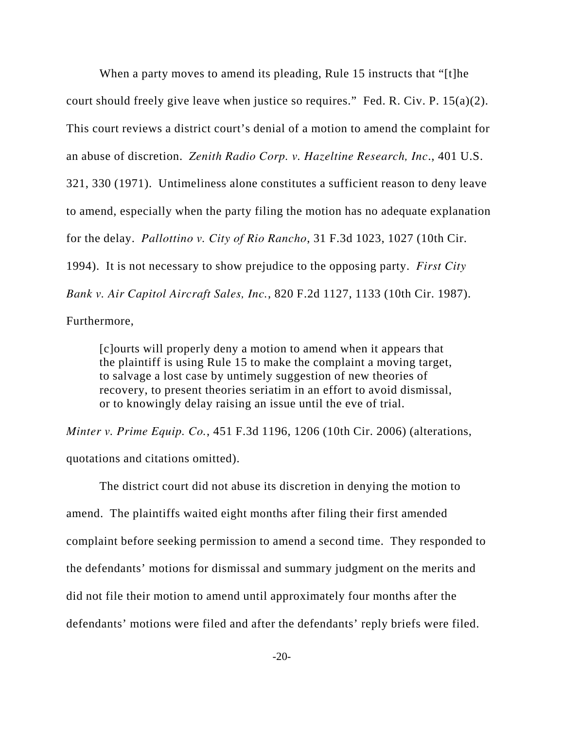When a party moves to amend its pleading, Rule 15 instructs that "[t]he court should freely give leave when justice so requires." Fed. R. Civ. P. 15(a)(2). This court reviews a district court's denial of a motion to amend the complaint for an abuse of discretion. *Zenith Radio Corp. v. Hazeltine Research, Inc*., 401 U.S. 321, 330 (1971). Untimeliness alone constitutes a sufficient reason to deny leave to amend, especially when the party filing the motion has no adequate explanation for the delay. *Pallottino v. City of Rio Rancho*, 31 F.3d 1023, 1027 (10th Cir. 1994). It is not necessary to show prejudice to the opposing party. *First City Bank v. Air Capitol Aircraft Sales, Inc.*, 820 F.2d 1127, 1133 (10th Cir. 1987).

Furthermore,

[c]ourts will properly deny a motion to amend when it appears that the plaintiff is using Rule 15 to make the complaint a moving target, to salvage a lost case by untimely suggestion of new theories of recovery, to present theories seriatim in an effort to avoid dismissal, or to knowingly delay raising an issue until the eve of trial.

*Minter v. Prime Equip. Co.*, 451 F.3d 1196, 1206 (10th Cir. 2006) (alterations, quotations and citations omitted).

The district court did not abuse its discretion in denying the motion to amend. The plaintiffs waited eight months after filing their first amended complaint before seeking permission to amend a second time. They responded to the defendants' motions for dismissal and summary judgment on the merits and did not file their motion to amend until approximately four months after the defendants' motions were filed and after the defendants' reply briefs were filed.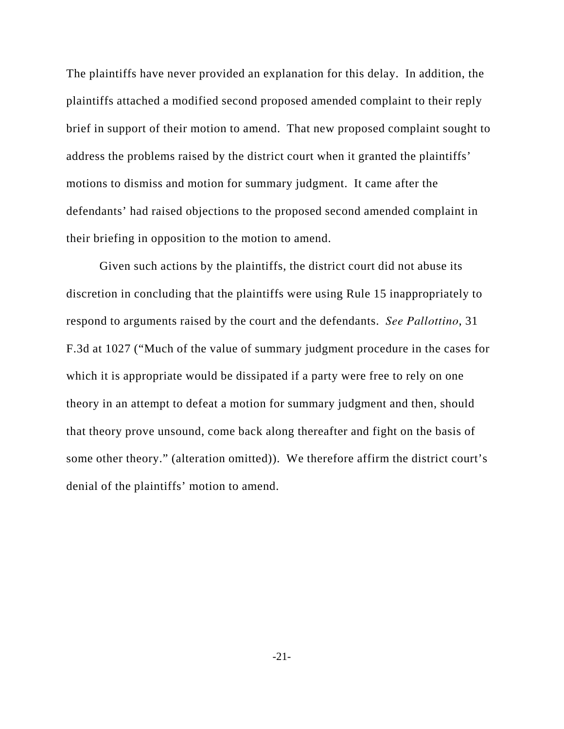The plaintiffs have never provided an explanation for this delay. In addition, the plaintiffs attached a modified second proposed amended complaint to their reply brief in support of their motion to amend. That new proposed complaint sought to address the problems raised by the district court when it granted the plaintiffs' motions to dismiss and motion for summary judgment. It came after the defendants' had raised objections to the proposed second amended complaint in their briefing in opposition to the motion to amend.

Given such actions by the plaintiffs, the district court did not abuse its discretion in concluding that the plaintiffs were using Rule 15 inappropriately to respond to arguments raised by the court and the defendants. *See Pallottino*, 31 F.3d at 1027 ("Much of the value of summary judgment procedure in the cases for which it is appropriate would be dissipated if a party were free to rely on one theory in an attempt to defeat a motion for summary judgment and then, should that theory prove unsound, come back along thereafter and fight on the basis of some other theory." (alteration omitted)). We therefore affirm the district court's denial of the plaintiffs' motion to amend.